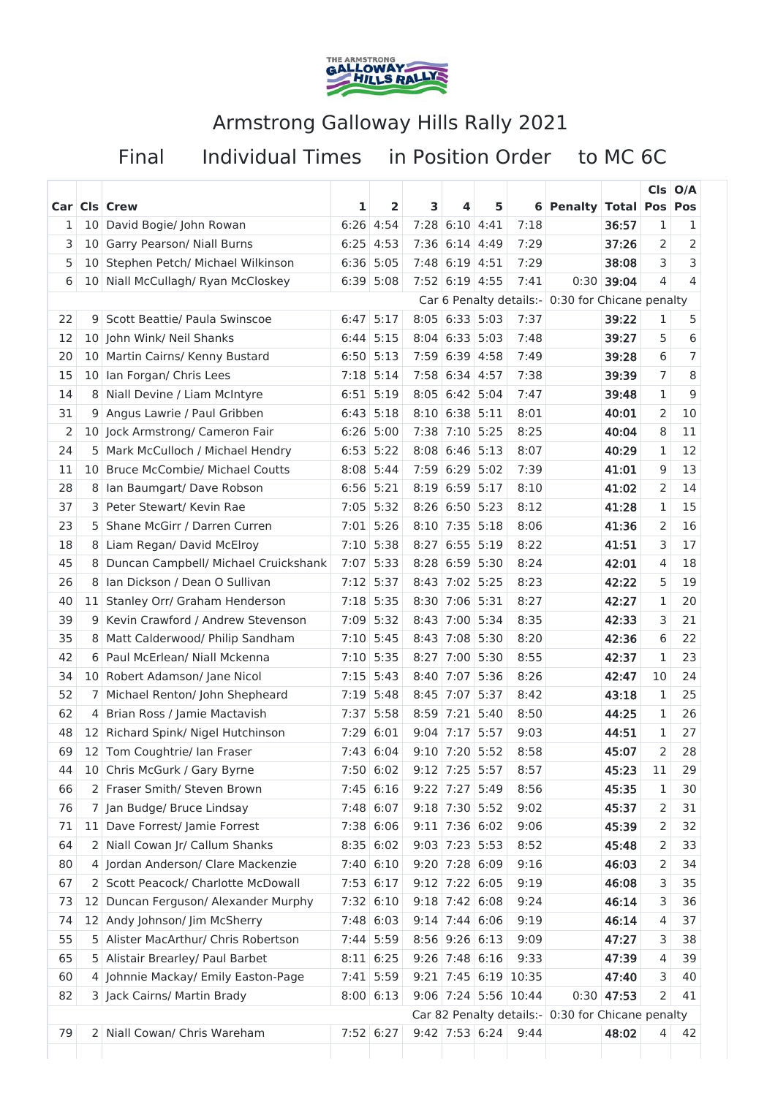

## Armstrong Galloway Hills Rally 2021

Final

Individual Times in Position Order to MC 6C

|    |                 | Car Cls Crew                          | 1    | $\overline{\mathbf{2}}$ | 3    | 4                | 5           |                         | 6 Penalty Total Pos Pos                            |              |              | $Cls$ $O/A$ |
|----|-----------------|---------------------------------------|------|-------------------------|------|------------------|-------------|-------------------------|----------------------------------------------------|--------------|--------------|-------------|
| 1  | 10 <sup>1</sup> | David Bogie/ John Rowan               | 6:26 | 4:54                    |      | 7:28 6:10 4:41   |             | 7:18                    |                                                    | 36:57        | 1            | 1           |
| 3  | 10 <sup>1</sup> | Garry Pearson/ Niall Burns            | 6:25 | 4:53                    |      | 7:36 6:14 4:49   |             | 7:29                    |                                                    | 37:26        | 2            | 2           |
| 5  | 10              | Stephen Petch/ Michael Wilkinson      | 6:36 | 5:05                    |      | 7:48 6:19 4:51   |             | 7:29                    |                                                    | 38:08        | 3            | 3           |
| 6  | 10              | Niall McCullagh/ Ryan McCloskey       | 6:39 | 5:08                    |      | $7:52$ 6:19      | 4:55        | 7:41                    | 0:30                                               | 39:04        | 4            | 4           |
|    |                 |                                       |      |                         |      |                  |             | Car 6 Penalty details:- | 0:30 for Chicane penalty                           |              |              |             |
| 22 | 9               | Scott Beattie/ Paula Swinscoe         | 6:47 | 5:17                    |      | $8:05$ 6:33 5:03 |             | 7:37                    |                                                    | 39:22        | 1            | 5           |
| 12 | 10 <sup>1</sup> | John Wink/ Neil Shanks                | 6:44 | 5:15                    |      | $8:04$ 6:33 5:03 |             | 7:48                    |                                                    | 39:27        | 5            | 6           |
| 20 | 10              | Martin Cairns/ Kenny Bustard          | 6:50 | 5:13                    |      | $7:59$ 6:39 4:58 |             | 7:49                    |                                                    | 39:28        | 6            | 7           |
| 15 | 10              | Ian Forgan/ Chris Lees                | 7:18 | 5:14                    |      | 7:58 6:34        | 4:57        | 7:38                    |                                                    | 39:39        | 7            | 8           |
| 14 | 8               | Niall Devine / Liam McIntyre          |      | $6:51$ 5:19             |      | $8:05$ 6:42 5:04 |             | 7:47                    |                                                    | 39:48        | 1            | 9           |
| 31 | 9               | Angus Lawrie / Paul Gribben           | 6:43 | 5:18                    |      | $8:10$ 6:38 5:11 |             | 8:01                    |                                                    | 40:01        | 2            | 10          |
| 2  |                 | 10 Jock Armstrong/ Cameron Fair       |      | $6:26$ 5:00             |      | 7:38 7:10 5:25   |             | 8:25                    |                                                    | 40:04        | 8            | 11          |
| 24 | 5               | Mark McCulloch / Michael Hendry       | 6:53 | 5:22                    |      | $8:08$ 6:46      | 5:13        | 8:07                    |                                                    | 40:29        | 1            | 12          |
| 11 | 10              | <b>Bruce McCombie/ Michael Coutts</b> | 8:08 | 5:44                    |      | 7:59 6:29 5:02   |             | 7:39                    |                                                    | 41:01        | 9            | 13          |
| 28 | 8               | Ian Baumgart/ Dave Robson             |      | $6:56$ 5:21             |      | $8:19$ 6:59 5:17 |             | 8:10                    |                                                    | 41:02        | 2            | 14          |
| 37 | 3               | Peter Stewart/ Kevin Rae              | 7:05 | 5:32                    |      | 8:26 6:50 5:23   |             | 8:12                    |                                                    | 41:28        | $\mathbf{1}$ | 15          |
| 23 | 5               | Shane McGirr / Darren Curren          |      | $7:01$ 5:26             |      | $8:10$ 7:35 5:18 |             | 8:06                    |                                                    | 41:36        | 2            | 16          |
| 18 | 8               | Liam Regan/ David McElroy             | 7:10 | 5:38                    | 8:27 | 6:55             | 5:19        | 8:22                    |                                                    | 41:51        | 3            | 17          |
| 45 | 8               | Duncan Campbell/ Michael Cruickshank  | 7:07 | 5:33                    |      | $8:28$ 6:59 5:30 |             | 8:24                    |                                                    | 42:01        | 4            | 18          |
| 26 | 8               | Ian Dickson / Dean O Sullivan         | 7:12 | 5:37                    | 8:43 | 7:02 5:25        |             | 8:23                    |                                                    | 42:22        | 5            | 19          |
| 40 | 11              | Stanley Orr/ Graham Henderson         | 7:18 | 5:35                    | 8:30 | 7:06 5:31        |             | 8:27                    |                                                    | 42:27        | 1            | 20          |
| 39 | 9               | Kevin Crawford / Andrew Stevenson     |      | 7:09 5:32               |      | 8:43 7:00 5:34   |             | 8:35                    |                                                    | 42:33        | 3            | 21          |
| 35 | 8               | Matt Calderwood/ Philip Sandham       | 7:10 | 5:45                    |      | 8:43 7:08 5:30   |             | 8:20                    |                                                    | 42:36        | 6            | 22          |
| 42 | 6               | Paul McErlean/ Niall Mckenna          | 7:10 | 5:35                    | 8:27 |                  | $7:00$ 5:30 | 8:55                    |                                                    | 42:37        | 1            | 23          |
| 34 | 10              | Robert Adamson/ Jane Nicol            | 7:15 | 5:43                    | 8:40 | 7:07             | 5:36        | 8:26                    |                                                    | 42:47        | 10           | 24          |
| 52 | 7               | Michael Renton/ John Shepheard        | 7:19 | 5:48                    | 8:45 | 7:07             | 5:37        | 8:42                    |                                                    | 43:18        | $\mathbf{1}$ | 25          |
| 62 | 4               | Brian Ross / Jamie Mactavish          | 7:37 | 5:58                    | 8:59 | 7:21             | 5:40        | 8:50                    |                                                    | 44:25        | 1            | 26          |
| 48 | 12 <sup>1</sup> | Richard Spink/ Nigel Hutchinson       | 7:29 | 6:01                    | 9:04 | 7:17             | 5:57        | 9:03                    |                                                    | 44:51        | 1            | 27          |
| 69 |                 | 12 Tom Coughtrie/ Ian Fraser          |      | 7:43 6:04               |      | 9:10 7:20 5:52   |             | 8:58                    |                                                    | 45:07        | 2            | 28          |
| 44 |                 | 10 Chris McGurk / Gary Byrne          |      | 7:50 6:02               |      | 9:12 7:25 5:57   |             | 8:57                    |                                                    | 45:23        | 11           | 29          |
| 66 |                 | 2 Fraser Smith/ Steven Brown          |      | $7:45$ 6:16             |      | $9:22$ 7:27      | 5:49        | 8:56                    |                                                    | 45:35        | 1            | 30          |
| 76 |                 | 7 Jan Budge/ Bruce Lindsay            |      | 7:48 6:07               |      | $9:18$ 7:30 5:52 |             | 9:02                    |                                                    | 45:37        | 2            | 31          |
| 71 | 11 <sub>1</sub> | Dave Forrest/ Jamie Forrest           |      | 7:38 6:06               |      | $9:11$ 7:36 6:02 |             | 9:06                    |                                                    | 45:39        | 2            | 32          |
| 64 |                 | 2 Niall Cowan Jr/ Callum Shanks       |      | $8:35$ 6:02             |      | 9:03 7:23 5:53   |             | 8:52                    |                                                    | 45:48        | 2            | 33          |
| 80 | 4               | Jordan Anderson/ Clare Mackenzie      |      | 7:40 6:10               |      | 9:20 7:28 6:09   |             | 9:16                    |                                                    | 46:03        | 2            | 34          |
| 67 |                 | 2 Scott Peacock/ Charlotte McDowall   |      | 7:53 6:17               |      | $9:12$ 7:22 6:05 |             | 9:19                    |                                                    | 46:08        | 3            | 35          |
| 73 | 12              | Duncan Ferguson/ Alexander Murphy     |      | 7:32 6:10               |      | $9:18$ 7:42 6:08 |             | 9:24                    |                                                    | 46:14        | 3            | 36          |
| 74 | 12              | Andy Johnson/ Jim McSherry            |      | $7:48$ 6:03             |      | $9:14$ 7:44 6:06 |             | 9:19                    |                                                    | 46:14        | 4            | 37          |
| 55 | 5               | Alister MacArthur/ Chris Robertson    |      | 7:44 5:59               |      | 8:56 9:26 6:13   |             | 9:09                    |                                                    | 47:27        | 3            | 38          |
| 65 | 5.              | Alistair Brearley/ Paul Barbet        |      | $8:11$ 6:25             |      | $9:26$ 7:48 6:16 |             | 9:33                    |                                                    | 47:39        | 4            | 39          |
| 60 |                 | 4 Johnnie Mackay/ Emily Easton-Page   |      | $7:41$ 5:59             |      |                  |             | $9:21$ 7:45 6:19 10:35  |                                                    | 47:40        | 3            | 40          |
| 82 |                 | 3 Jack Cairns/ Martin Brady           |      | $8:00$ 6:13             |      |                  |             | 9:06 7:24 5:56 10:44    |                                                    | $0:30$ 47:53 | 2            | 41          |
|    |                 |                                       |      |                         |      |                  |             |                         | Car 82 Penalty details:   0:30 for Chicane penalty |              |              |             |
| 79 |                 | 2 Niall Cowan/ Chris Wareham          |      | 7:52 6:27               |      | $9:42$ 7:53 6:24 |             | 9:44                    |                                                    | 48:02        | 4            | 42          |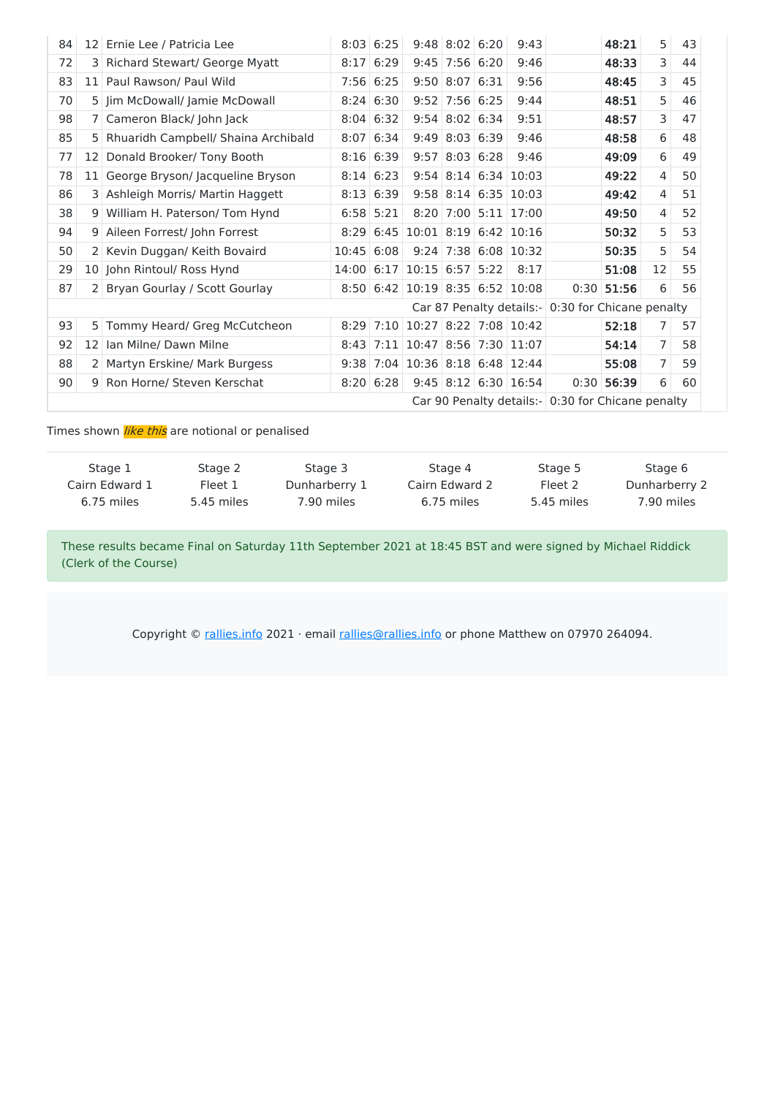| 84                                                |                 | 12 Ernie Lee / Patricia Lee          |       | $8:03$ 6:25      |                         | $9:48$ 8:02 6:20   |      | 9:43                     |      | 48:21 | 5  | 43 |
|---------------------------------------------------|-----------------|--------------------------------------|-------|------------------|-------------------------|--------------------|------|--------------------------|------|-------|----|----|
| 72                                                | 3               | <b>Richard Stewart/ George Myatt</b> | 8:17  | 6:29             |                         | $9:45$ 7:56 6:20   |      | 9:46                     |      | 48:33 | 3  | 44 |
| 83                                                |                 | 11 Paul Rawson/ Paul Wild            | 7:56  | 6:25             |                         | $9:50$ $8:07$ 6:31 |      | 9:56                     |      | 48:45 | 3  | 45 |
| 70                                                |                 | 5 Jim McDowall/ Jamie McDowall       |       | $8:24 \ 6:30$    |                         | $9:52$ 7:56 6:25   |      | 9:44                     |      | 48:51 | 5  | 46 |
| 98                                                |                 | 7 Cameron Black/ John Jack           |       | $8:04 \mid 6:32$ |                         | $9:54$ 8:02 6:34   |      | 9:51                     |      | 48:57 | 3  | 47 |
| 85                                                | 5.              | Rhuaridh Campbell/ Shaina Archibald  |       | $8:07$ 6:34      |                         | $9:49$ 8:03 6:39   |      | 9:46                     |      | 48:58 | 6  | 48 |
| 77                                                | 12              | Donald Brooker/ Tony Booth           | 8:16  | 6:39             | 9:57                    | $8:03 \mid 6:28$   |      | 9:46                     |      | 49:09 | 6  | 49 |
| 78                                                |                 | 11 George Bryson/ Jacqueline Bryson  |       | $8:14$ 6:23      |                         |                    |      | $9:54$ $8:14$ 6:34 10:03 |      | 49:22 | 4  | 50 |
| 86                                                | 3               | Ashleigh Morris/ Martin Haggett      | 8:13  | 6:39             |                         |                    |      | $9:58$ $8:14$ 6:35 10:03 |      | 49:42 | 4  | 51 |
| 38                                                | 9               | William H. Paterson/ Tom Hynd        |       | $6:58$ 5:21      |                         |                    |      | $8:20$ 7:00 5:11 17:00   |      | 49:50 | 4  | 52 |
| 94                                                | 9               | Aileen Forrest/ John Forrest         | 8:29  | 6:45             | $10:01$ 8:19 6:42 10:16 |                    |      |                          |      | 50:32 | 5  | 53 |
| 50                                                |                 | 2 Kevin Duggan/ Keith Bovaird        | 10:45 | 6:08             |                         |                    |      | $9:24$ 7:38 6:08 10:32   |      | 50:35 | 5  | 54 |
| 29                                                |                 | 10 John Rintoul/ Ross Hynd           | 14:00 | 6:17             | $10:15$ 6:57            |                    | 5:22 | 8:17                     |      | 51:08 | 12 | 55 |
| 87                                                |                 | 2 Bryan Gourlay / Scott Gourlay      |       | 8:50 6:42        | $10:19$ 8:35 6:52 10:08 |                    |      |                          | 0:30 | 51:56 | 6  | 56 |
| Car 87 Penalty details:- 0:30 for Chicane penalty |                 |                                      |       |                  |                         |                    |      |                          |      |       |    |    |
| 93                                                | 5               | Tommy Heard/ Greg McCutcheon         | 8:29  | 7:10             | 10:27 8:22 7:08 10:42   |                    |      |                          |      | 52:18 | 7  | 57 |
| 92                                                | 12 <sup>1</sup> | Ian Milne/ Dawn Milne                | 8:43  | 7:11             | 10:47 8:56 7:30 11:07   |                    |      |                          |      | 54:14 | 7  | 58 |
| 88                                                | 2 <sup>1</sup>  | Martyn Erskine/ Mark Burgess         |       | $9:38$ 7:04      | 10:36 8:18 6:48 12:44   |                    |      |                          |      | 55:08 | 7  | 59 |
| 90                                                | 9               | Ron Horne/ Steven Kerschat           |       | $8:20$ 6:28      |                         |                    |      | $9:45$ $8:12$ 6:30 16:54 | 0:30 | 56:39 | 6  | 60 |
| Car 90 Penalty details:- 0:30 for Chicane penalty |                 |                                      |       |                  |                         |                    |      |                          |      |       |    |    |

Times shown *like this* are notional or penalised

| Stage 1        | Stage 2    | Stage 3       | Stage 4        | Stage 5    | Stage 6       |
|----------------|------------|---------------|----------------|------------|---------------|
| Cairn Edward 1 | Fleet 1    | Dunharberry 1 | Cairn Edward 2 | Fleet 2    | Dunharberry 2 |
| 6.75 miles     | 5.45 miles | 7.90 miles    | 6.75 miles     | 5.45 miles | 7.90 miles    |

These results became Final on Saturday 11th September 2021 at 18:45 BST and were signed by Michael Riddick (Clerk of the Course)

Copyright  $\circ$  rallies.info 2021 · email rallies@rallies.info or phone Matthew on 07970 264094.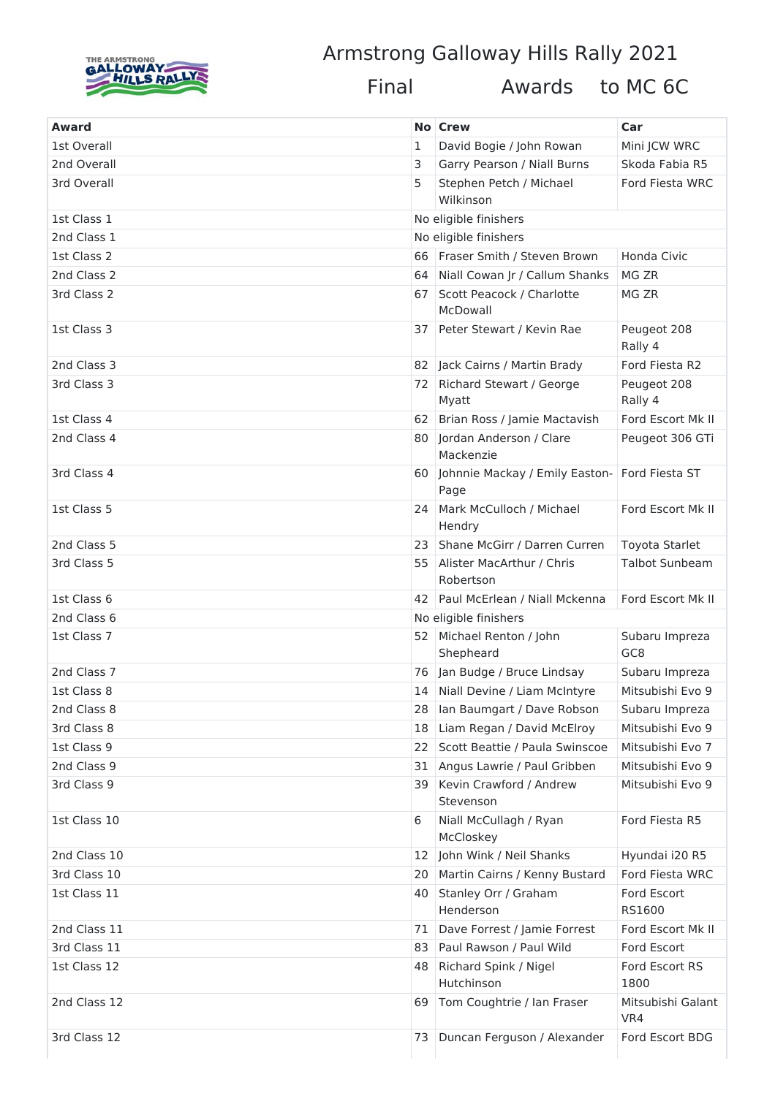

## Armstrong Galloway Hills Rally 2021

Final

Awards to MC 6C

| Award        |    | No Crew                                  | Car                               |
|--------------|----|------------------------------------------|-----------------------------------|
| 1st Overall  | 1  | David Bogie / John Rowan                 | Mini JCW WRC                      |
| 2nd Overall  | 3  | Garry Pearson / Niall Burns              | Skoda Fabia R5                    |
| 3rd Overall  | 5  | Stephen Petch / Michael                  | Ford Fiesta WRC                   |
|              |    | Wilkinson                                |                                   |
| 1st Class 1  |    | No eligible finishers                    |                                   |
| 2nd Class 1  |    | No eligible finishers                    |                                   |
| 1st Class 2  | 66 | Fraser Smith / Steven Brown              | Honda Civic                       |
| 2nd Class 2  | 64 | Niall Cowan Jr / Callum Shanks           | MG ZR                             |
| 3rd Class 2  | 67 | Scott Peacock / Charlotte<br>McDowall    | MG ZR                             |
| 1st Class 3  | 37 | Peter Stewart / Kevin Rae                | Peugeot 208<br>Rally 4            |
| 2nd Class 3  | 82 | Jack Cairns / Martin Brady               | Ford Fiesta R2                    |
| 3rd Class 3  | 72 | <b>Richard Stewart / George</b><br>Myatt | Peugeot 208<br>Rally 4            |
| 1st Class 4  | 62 | Brian Ross / Jamie Mactavish             | Ford Escort Mk II                 |
| 2nd Class 4  | 80 | Jordan Anderson / Clare<br>Mackenzie     | Peugeot 306 GTi                   |
| 3rd Class 4  | 60 | Johnnie Mackay / Emily Easton-<br>Page   | Ford Fiesta ST                    |
| 1st Class 5  | 24 | Mark McCulloch / Michael<br>Hendry       | Ford Escort Mk II                 |
| 2nd Class 5  | 23 | Shane McGirr / Darren Curren             | Toyota Starlet                    |
| 3rd Class 5  | 55 | Alister MacArthur / Chris<br>Robertson   | <b>Talbot Sunbeam</b>             |
| 1st Class 6  | 42 | Paul McErlean / Niall Mckenna            | Ford Escort Mk II                 |
| 2nd Class 6  |    | No eligible finishers                    |                                   |
| 1st Class 7  | 52 | Michael Renton / John<br>Shepheard       | Subaru Impreza<br>GC <sub>8</sub> |
| 2nd Class 7  | 76 | Jan Budge / Bruce Lindsay                | Subaru Impreza                    |
| 1st Class 8  | 14 | Niall Devine / Liam McIntyre             | Mitsubishi Evo 9                  |
| 2nd Class 8  | 28 | Ian Baumgart / Dave Robson               | Subaru Impreza                    |
| 3rd Class 8  | 18 | Liam Regan / David McElroy               | Mitsubishi Evo 9                  |
| 1st Class 9  | 22 | Scott Beattie / Paula Swinscoe           | Mitsubishi Evo 7                  |
| 2nd Class 9  | 31 | Angus Lawrie / Paul Gribben              | Mitsubishi Evo 9                  |
| 3rd Class 9  | 39 | Kevin Crawford / Andrew<br>Stevenson     | Mitsubishi Evo 9                  |
| 1st Class 10 | 6  | Niall McCullagh / Ryan<br>McCloskey      | Ford Fiesta R5                    |
| 2nd Class 10 | 12 | John Wink / Neil Shanks                  | Hyundai i20 R5                    |
| 3rd Class 10 | 20 | Martin Cairns / Kenny Bustard            | Ford Fiesta WRC                   |
| 1st Class 11 | 40 | Stanley Orr / Graham<br>Henderson        | Ford Escort<br>RS1600             |
| 2nd Class 11 | 71 | Dave Forrest / Jamie Forrest             | Ford Escort Mk II                 |
| 3rd Class 11 | 83 | Paul Rawson / Paul Wild                  | Ford Escort                       |
| 1st Class 12 | 48 | Richard Spink / Nigel<br>Hutchinson      | Ford Escort RS<br>1800            |
| 2nd Class 12 | 69 | Tom Coughtrie / Ian Fraser               | Mitsubishi Galant<br>VR4          |
| 3rd Class 12 | 73 | Duncan Ferguson / Alexander              | Ford Escort BDG                   |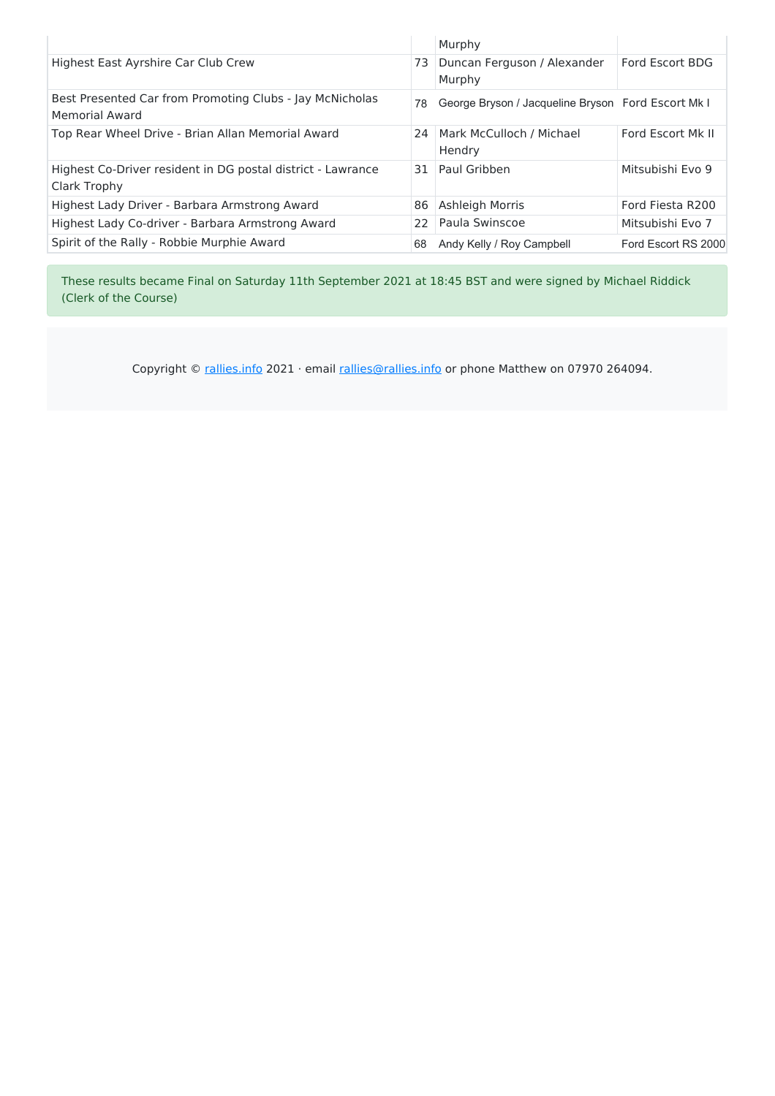| Highest East Ayrshire Car Club Crew<br>Ford Escort BDG<br>Duncan Ferguson / Alexander<br>73<br>Murphy<br>Best Presented Car from Promoting Clubs - Jay McNicholas<br>George Bryson / Jacqueline Bryson Ford Escort Mk I<br>78<br><b>Memorial Award</b><br>Mark McCulloch / Michael<br>Ford Escort Mk II<br>Top Rear Wheel Drive - Brian Allan Memorial Award<br>24<br>Hendry |
|------------------------------------------------------------------------------------------------------------------------------------------------------------------------------------------------------------------------------------------------------------------------------------------------------------------------------------------------------------------------------|
|                                                                                                                                                                                                                                                                                                                                                                              |
|                                                                                                                                                                                                                                                                                                                                                                              |
|                                                                                                                                                                                                                                                                                                                                                                              |
| Mitsubishi Evo 9<br>Highest Co-Driver resident in DG postal district - Lawrance<br>Paul Gribben<br>31<br>Clark Trophy                                                                                                                                                                                                                                                        |
| Ashleigh Morris<br>Highest Lady Driver - Barbara Armstrong Award<br>Ford Fiesta R200<br>86                                                                                                                                                                                                                                                                                   |
| Paula Swinscoe<br>Highest Lady Co-driver - Barbara Armstrong Award<br>22<br>Mitsubishi Evo 7                                                                                                                                                                                                                                                                                 |
| Spirit of the Rally - Robbie Murphie Award<br>Andy Kelly / Roy Campbell<br>Ford Escort RS 2000<br>68                                                                                                                                                                                                                                                                         |

These results became Final on Saturday 11th September 2021 at 18:45 BST and were signed by Michael Riddick (Clerk of the Course)

Copyright  $\circ$  rallies.info 2021 · email rallies@rallies.info or phone Matthew on 07970 264094.